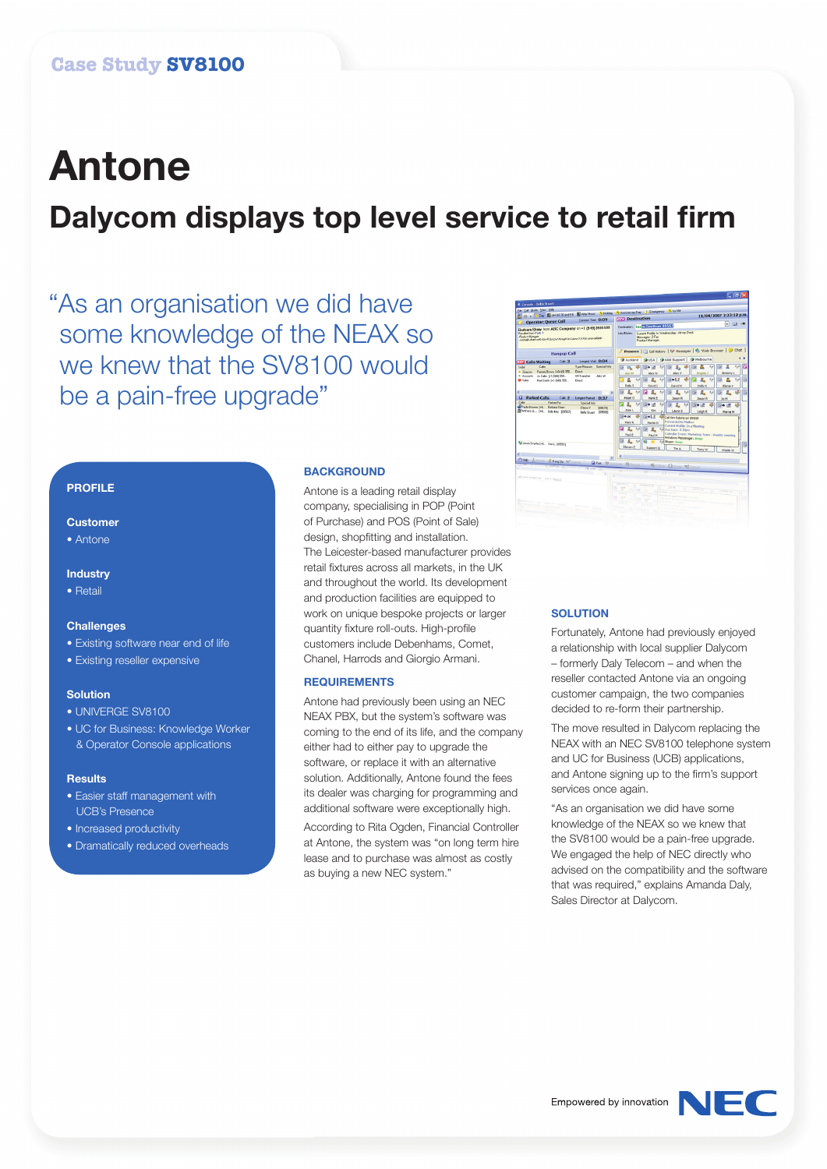# **Antone Dalycom displays top level service to retail firm**

"As an organisation we did have some knowledge of the NEAX so we knew that the SV8100 would be a pain-free upgrade"

## **PROFILE**

## **Customer**

• Antone

## **Industry**

• Retail

#### **Challenges**

- Existing software near end of life
- Existing reseller expensive

## **Solution**

- UNIVERGE SV8100
- UC for Business: Knowledge Worker & Operator Console applications

#### **Results**

- Easier staff management with UCB's Presence
- Increased productivity
- Dramatically reduced overheads

## **BACKGROUND**

Antone is a leading retail display company, specialising in POP (Point of Purchase) and POS (Point of Sale) design, shopfitting and installation. The Leicester-based manufacturer provides retail fixtures across all markets, in the UK and throughout the world. Its development and production facilities are equipped to work on unique bespoke projects or larger quantity fixture roll-outs. High-profile customers include Debenhams, Comet, Chanel, Harrods and Giorgio Armani.

### **REQUIREMENTS**

Antone had previously been using an NEC NEAX PBX, but the system's software was coming to the end of its life, and the company either had to either pay to upgrade the software, or replace it with an alternative solution. Additionally, Antone found the fees its dealer was charging for programming and additional software were exceptionally high.

According to Rita Ogden, Financial Controller at Antone, the system was "on long term hire lease and to purchase was almost as costly as buying a new NEC system."



## **SOLUTION**

Fortunately, Antone had previously enjoyed a relationship with local supplier Dalycom – formerly Daly Telecom – and when the reseller contacted Antone via an ongoing customer campaign, the two companies decided to re-form their partnership.

The move resulted in Dalycom replacing the NEAX with an NEC SV8100 telephone system and UC for Business (UCB) applications, and Antone signing up to the firm's support services once again.

"As an organisation we did have some knowledge of the NEAX so we knew that the SV8100 would be a pain-free upgrade. We engaged the help of NEC directly who advised on the compatibility and the software that was required," explains Amanda Daly, Sales Director at Dalycom.